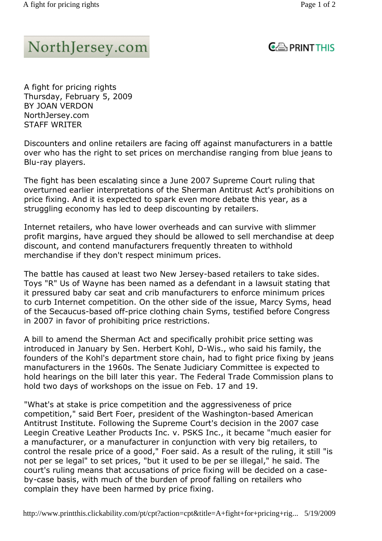## NorthJersey.com

## $C \oplus$  PRINT THIS

A fight for pricing rights Thursday, February 5, 2009 BY JOAN VERDON NorthJersey.com STAFF WRITER

Discounters and online retailers are facing off against manufacturers in a battle over who has the right to set prices on merchandise ranging from blue jeans to Blu-ray players.

The fight has been escalating since a June 2007 Supreme Court ruling that overturned earlier interpretations of the Sherman Antitrust Act's prohibitions on price fixing. And it is expected to spark even more debate this year, as a struggling economy has led to deep discounting by retailers.

Internet retailers, who have lower overheads and can survive with slimmer profit margins, have argued they should be allowed to sell merchandise at deep discount, and contend manufacturers frequently threaten to withhold merchandise if they don't respect minimum prices.

The battle has caused at least two New Jersey-based retailers to take sides. Toys "R" Us of Wayne has been named as a defendant in a lawsuit stating that it pressured baby car seat and crib manufacturers to enforce minimum prices to curb Internet competition. On the other side of the issue, Marcy Syms, head of the Secaucus-based off-price clothing chain Syms, testified before Congress in 2007 in favor of prohibiting price restrictions.

A bill to amend the Sherman Act and specifically prohibit price setting was introduced in January by Sen. Herbert Kohl, D-Wis., who said his family, the founders of the Kohl's department store chain, had to fight price fixing by jeans manufacturers in the 1960s. The Senate Judiciary Committee is expected to hold hearings on the bill later this year. The Federal Trade Commission plans to hold two days of workshops on the issue on Feb. 17 and 19.

"What's at stake is price competition and the aggressiveness of price competition," said Bert Foer, president of the Washington-based American Antitrust Institute. Following the Supreme Court's decision in the 2007 case Leegin Creative Leather Products Inc. v. PSKS Inc., it became "much easier for a manufacturer, or a manufacturer in conjunction with very big retailers, to control the resale price of a good," Foer said. As a result of the ruling, it still "is not per se legal" to set prices, "but it used to be per se illegal," he said. The court's ruling means that accusations of price fixing will be decided on a caseby-case basis, with much of the burden of proof falling on retailers who complain they have been harmed by price fixing.